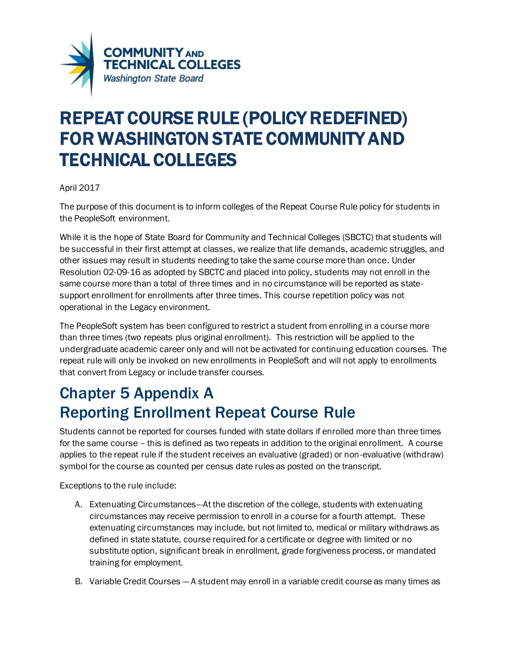

## REPEAT COURSE RULE (POLICY REDEFINED) FOR WASHINGTON STATE COMMUNITY AND TECHNICAL COLLEGES

## April 2017

The purpose of this document is to inform colleges of the Repeat Course Rule policy for students in the PeopleSoft environment.

While it is the hope of State Board for Community and Technical Colleges (SBCTC) that students will be successful in their first attempt at classes, we realize that life demands, academic struggles, and other issues may result in students needing to take the same course more than once. Under Resolution 02-09-16 as adopted by SBCTC and placed into policy, students may not enroll in the same course more than a total of three times and in no circumstance will be reported as statesupport enrollment for enrollments after three times. This course repetition policy was not operational in the Legacy environment.

The PeopleSoft system has been configured to restrict a student from enrolling in a course more than three times (two repeats plus original enrollment). This restriction will be applied to the undergraduate academic career only and will not be activated for continuing education courses. The repeat rule will only be invoked on new enrollments in PeopleSoft and will not apply to enrollments that convert from Legacy or include transfer courses.

## Chapter 5 Appendix A Reporting Enrollment Repeat Course Rule

Students cannot be reported for courses funded with state dollars if enrolled more than three times for the same course – this is defined as two repeats in addition to the original enrollment. A course applies to the repeat rule if the student receives an evaluative (graded) or non-evaluative (withdraw) symbol for the course as counted per census date rules as posted on the transcript.

Exceptions to the rule include:

- A. Extenuating Circumstances--At the discretion of the college, students with extenuating circumstances may receive permission to enroll in a course for a fourth attempt. These extenuating circumstances may include, but not limited to, medical or military withdraws as defined in state statute, course required for a certificate or degree with limited or no substitute option, significant break in enrollment, grade forgiveness process, or mandated training for employment.
- B. Variable Credit Courses A student may enroll in a variable credit course as many times as